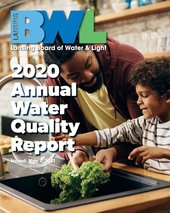# Lansing Board of Water & Light

# **2020 Annual Water Quality Report Issued: May 1, 2021**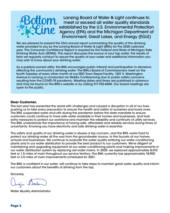

Lansing Board of Water & Light continues to meet or exceed all water quality standards established by the U.S. Environmental Protection Agency (EPA) and the Michigan Department of Environment, Great Lakes, and Energy (EGLE)

We are pleased to present the 23rd annual report summarizing the quality of the drinking water provided to you by the Lansing Board of Water & Light (BWL) for the 2020 calendar year. This Consumer Confidence Report is required by the Federal and State of Michigan Safe Drinking Water Acts (SDWA). This report discusses the source of your tap water, the results of tests we regularly conduct to assure the quality of your water and additional information you may wish to know about your drinking water.

As a publicly-owned utility, the BWL encourages public interest and participation in decisions affecting the community's drinking water. The BWL's Board of Commissioners meet on the fourth Tuesday of every other month at our REO Town Depot Facility, 1201 S. Washington Avenue in Lansing or conducted via WebEx Conferencing due to public safety concerns resulting from the COVID-19 pandemic. Meeting dates and times are published in advance and may be found on the BWL's website or by calling 517-702-6006. Our board meetings are open to the public.

#### **Dear Customer,**

The last year has presented the world with challenges and caused a disruption in all of our lives, pushing us to take every precaution to ensure the health and safety of ourselves and loved ones. The BWL suspended water shut-offs during the pandemic before the state mandate to ensure customers could continue to have safe water available in their homes and businesses, and took extra measures to protect our workforce and maintain the reliability and continuity of utility services. The BWL understands the importance of having safe, affordable and reliable services during times of uncertainty. Knowing you have electricity and safe drinking water is essential.

The safety and quality of our drinking water is always a top concern, and the BWL works hard to protect our drinking water all the way from the groundwater source, to the faucets at our homes, schools and businesses. We continue to evaluate the water quality entering our water conditioning plants and in our water distribution to provide the best product to our customers. We're diligent at maintaining and upgrading equipment at our water conditioning plants and making improvements in our water distribution system by replacing old water mains. In 2020, we replaced approximately 8,010 feet or 1.5 miles of main throughout our service territory. The BWL currently has approximately 18,900 feet or 3.5 miles of main improvements scheduled for 2021.

The BWL is confident in our water, will continue to take steps to maintain great water quality and inform our customers about the benefits of drinking from the tap.

Sincerely,

Water Quality Administrator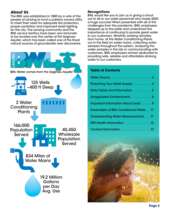# **About Us**

The BWL was established in 1885 by a vote of the people of Lansing to fund a publicly owned utility to meet their need for adequate fire protection, proper sanitation and improved street lighting for the city. The Lansing community and the BWL service territory have been very fortunate to be located over the center of the Saginaw Aquifer, which has been called one of the finest natural sources of groundwater ever discovered.



#### **Recognitions**

BWL would like you to join us in giving a shout out to all or our water personnel who made 2020 a huge success! When presented with all of the challenges from the pandemic, BWL employees stepped up to the plate and understood the importance of continuing to provide great water to our customers. Whether working remotely from home, at the Water Conditioning Plants, out in the field on water mains, collecting water samples throughout the system, analyzing the water samples in the lab or communicating with customers, BWL employees remain dedicated to providing safe, reliable and affordable drinking water to our customers.

#### **Table of Contents**

| Protecting Your Water Supply 4               |
|----------------------------------------------|
| Data Tables and Information  5               |
| Unregulated Contaminants 8                   |
| Important Information About Lead 9           |
| <b>Parameters of BWL Conditioned Water11</b> |
| Understanding Water Measurements 11          |
| EPA Health Information 12                    |
| Contact Information 12                       |

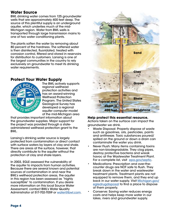# <span id="page-3-0"></span>**Water Source**

BWL drinking water comes from 125 groundwater wells that are approximately 400 feet deep. The source of this plentiful supply is an underground aquifer, which underlies much of the mid-Michigan region. Water from BWL wells is transported through large transmission mains to one of two water conditioning plants.

The plants soften the water by removing about 80 percent of the hardness. The softened water is then disinfected, fluoridated, treated with corrosion control, filtered and stored in reservoirs for distribution to customers. Lansing is one of the largest communities in the country to rely exclusively on groundwater to meet its drinking water requirements.

#### **Protect Your Water Supply**



The BWL actively supports regional wellhead protection activities and has an award-winning Wellhead Protection Program. The United States Geological Survey has developed a regional aquifer computer model of the mid-Michigan area

that provides important information about the groundwater supplies. Major support for the project was provided through a stateadministered wellhead protection grant to the BWL.

Lansing's drinking water source is largely protected from contamination or direct contact with surface waters by layers of clay and shale. There are areas at the surface, however, that directly contribute to the aquifer without the protection of clay and shale layers.

In 2003, EGLE assessed the vulnerability of the aquifer to impacts from human activities. Because there are several known and potential sources of contamination in and near the BWL's wellhead protection areas, the aquifer in this region has been assessed as "highly susceptible" to contamination. If you desire more information on this local Source Water Assessment, contact BWL's Water Quality Administrator at 517-702-7059 or [water@lbwl.com](mailto:water%40lbwl.com?subject=).



#### **Help protect this essential resource.**

Actions taken on the surface can impact the groundwater we drink.

- Waste Disposal: Properly dispose of waste such as gasolines, oils, pesticides, paints and antifreeze. Toxic substances poured/ spilled on the ground or down a drain can contaminate the water you drink.
- Never Flush: Many items containing toxins are non-biodegradable. They clog pipes, destroy protective bacteria and wreak havoc at the Wastewater Treatment Plant. For a complete list, visit [epa.gov/septic.](http://epa.gov/septic)
- Medications: Prescription and over-thecounter drugs are NOT safe to flush. They break down in the water and wastewater treatment plants. Treatment plants are not equipped to remove them, and they end up back in our water supply. Visit [Michigan.gov/](http://Michigan.gov/egledrugdisposal) [egledrugdisposal](http://Michigan.gov/egledrugdisposal) to find a place to dispose of them properly.
- Conserve: Saving water reduces energy costs and helps keep more water in our lakes, rivers and groundwater supply.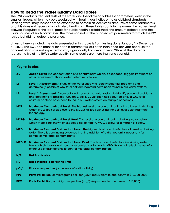#### <span id="page-4-0"></span>**How to Read the Water Quality Data Tables**

The BWL conducts frequent tests of the water and the following tables list parameters, even in the smallest traces, which may be associated with health, aesthetics or no established standards. Drinking water may reasonably be expected to contain at least small amounts of some parameters and this does not necessarily indicate a health risk. These tables contain the name, the highest level allowed if regulated, the ideal goals for public health if established, the amount detected and the usual sources of such parameter. The tables do not list the hundreds of parameters for which the BWL tested but did not detect a presence.

Unless otherwise noted, the data presented in this table is from testing done January 1 – December 31, 2020. The BWL can monitor for certain parameters less often than once per year because the concentrations are not expected to vary significantly from year to year. While all the data are representative of the BWL's water quality, some results are more than one year old.

#### **Key to Tables**

- **AL Action Level:** The concentration of a contaminant which, if exceeded, triggers treatment or other requirements that a water system must follow.
- **L1 Level 1 Assessment:** A study of the water supply to identify potential problems and determine (if possible) why total coliform bacteria have been found in our water system.
- **L2 Level 2 Assessment:** A very detailed study of the water system to identify potential problems and determine (if possible) why an E. coli MCL violation has occurred and/or why total coliform bacteria have been found in our water system on multiple occasions.
- **MCL Maximum Contaminant Level:** The highest level of a contaminant that is allowed in drinking water. MCLs are set as close to the MCLGs as feasible using the best available treatment technology.
- **MCLG Maximum Contaminant Level Goal:** The level of a contaminant in drinking water below which there is no known or expected risk to health. MCLGs allow for a margin of safety.
- **MRDL Maximum Residual Disinfectant Level:** The highest level of a disinfectant allowed in drinking water. There is convincing evidence that the addition of a disinfectant is necessary for control of microbial contaminants.
- **MRDLG Maximum Residual Disinfectant Level Goal:** The level of a disinfectant in drinking water below which there is no known or expected risk to health. MRDLGs do not reflect the benefits of the use of disinfectants to control microbial contamination.
- **N/A Not Applicable**
- **ND Not detectable at testing limit**
- **pCi/L Picocuries per liter** (a measure of radioactivity)
- **PPB Parts Per Billion**, or micrograms per liter (ug/l) (equivalent to one penny in \$10,000,000).
- **PPM Parts Per Million,** or milligrams per liter (mg/l) (equivalent to one penny in \$10,000).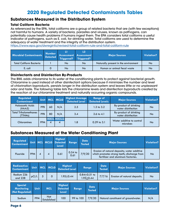# **2020 Regulated Detected Contaminants Tables**

#### **Substances Measured in the Distribution System**

#### **Total Coliform Bacteria**

As referenced by the EPA, total coliforms are a group of related bacteria that are (with few exceptions) not harmful to humans. A variety of bacteria, parasites and viruses, known as pathogens, can potentially cause health problems if humans ingest them. The EPA considers total coliforms a useful indicator of pathogens, such as E. coli, for drinking water. Total coliforms are used to determine the adequacy of water treatment and the integrity of the distribution system.

<https://www.epa.gov/dwreginfo/revised-total-coliform-rule-and-total-coliform-rule>

| Microbial Contaminants Detected | <b>Number</b> | Triggered? | 12<br>Assessment Assessment<br>Triggered? | <b>Major Sources</b>                 | Violation? |
|---------------------------------|---------------|------------|-------------------------------------------|--------------------------------------|------------|
| <b>Total Coliform Bacteria</b>  |               | No         | No                                        | Naturally present in the environment | No         |
| E. coli                         |               | No         | No                                        | Human or animal fecal waste          | No         |

#### **Disinfectants and Disinfection By-Products**

The BWL adds chloramine to its water at the conditioning plants to protect against bacterial growth. Chloramine is used instead of other disinfectant options because it minimizes the number and level of chlorination byproducts, persists longer in the distribution system and leaves little or no unpleasant odor and taste. The following table lists the chloramine levels and disinfection byproducts created by the reaction of our chloramine treatment and naturally occurring organic compounds.

| <b>Regulated</b><br><b>Contaminant</b>  | <b>Unit</b> |    | MCL MCLG               | <b>Highest Average</b><br><b>Detected Level</b> | <b>Range of</b><br><b>Detected Levels</b> | <b>Major Sources</b>                         | Violation? |
|-----------------------------------------|-------------|----|------------------------|-------------------------------------------------|-------------------------------------------|----------------------------------------------|------------|
| <b>Haloacetic Acids</b><br>(HAA5)       | <b>PPB</b>  | 60 | N/A                    | 2.5                                             | $1.3$ to $3.2$                            | By-product of drinking<br>water disinfection | No         |
| <b>Total Trihalomethanes</b><br>(TTHMs) | <b>PPB</b>  | 80 | N/A                    | 3.4                                             | $2.6 \text{ to } 4.1$                     | By-product of drinking<br>water disinfection | No         |
| <b>Chloramines</b>                      | <b>PPM</b>  | 4  | <b>MRDL MRDLG</b><br>4 | 1.8                                             | $0.29$ to $3.1$                           | Water additive to control<br>microbes        | <b>No</b>  |

# **Substances Measured at the Water Conditioning Plant**

| Regulated<br>Contaminant |            |  | <b>Highest</b><br>Unit MCL MCLG Detected Range<br><b>Level</b> |                   | <b>Date</b><br><b>Tested</b> | <b>Major Sources</b>                                                                                                             | Violation? |
|--------------------------|------------|--|----------------------------------------------------------------|-------------------|------------------------------|----------------------------------------------------------------------------------------------------------------------------------|------------|
| Fluoride                 | <b>PPM</b> |  | 0.61                                                           | $0.54$ to<br>0.61 | 7/9/20                       | Erosion of natural deposits; water additive<br>which promotes strong teeth; discharge from<br>fertilizer and aluminum factories. | No         |

| <b>Radioactive</b><br><b>Contaminant</b>               | <b>Unit</b> | <b>MCL</b> | <b>MCLG</b>               | <b>Highest</b><br><b>Detected Level</b>    |           | Range                             | <b>Date</b><br><b>Tested</b> | <b>Major Sources</b>                | Violation? |
|--------------------------------------------------------|-------------|------------|---------------------------|--------------------------------------------|-----------|-----------------------------------|------------------------------|-------------------------------------|------------|
| Radium 226<br>and $228$                                | pCi/L       | 5          | $\Omega$                  | $1.95 + 0.44$                              |           | $0.84 + 0.51$ to<br>$1.95 + 0.44$ | 7/7/16                       | Erosion of natural deposits.        | <b>No</b>  |
| <b>Special</b><br><b>Monitoring</b><br>(Not Regulated) | Unit        |            | <b>MCL</b>                | <b>Highest</b><br><b>Detected</b><br>Level | Range     | <b>Date</b><br><b>Tested</b>      | <b>Major Sources</b>         |                                     | Violation? |
| Sodium                                                 | <b>PPM</b>  |            | <b>Not</b><br>Established | 100                                        | 99 to 100 | 7/9/20                            |                              | Natural constituent of groundwater. | N/A        |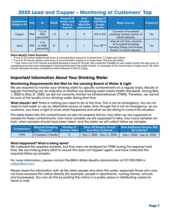# **2020 Lead and Copper – Monitoring at Customers' Tap**

| <b>Contaminant</b><br><b>Subject to AL</b> | <b>Unit</b> | <b>AL</b>                       | <b>MCLG</b> | 9 out of 10<br>homes were<br>below a<br>level of: | # of<br>samples<br>above the<br>action level: | <b>Range of</b><br><b>Individual</b><br><b>Sample</b><br><b>Results:</b> | <b>Major Sources</b>                                                                                                       | Violation? |
|--------------------------------------------|-------------|---------------------------------|-------------|---------------------------------------------------|-----------------------------------------------|--------------------------------------------------------------------------|----------------------------------------------------------------------------------------------------------------------------|------------|
| Copper                                     | <b>PPM</b>  | $*1.3$ at<br>90th<br>percentile | 1.3         | 0                                                 | 0                                             | 0.0 <sub>to</sub> 0.0 <sub>0</sub>                                       | Corrosion of household<br>plumbing systems; erosion of<br>natural deposits.                                                | No         |
| Lead                                       | <b>PPB</b>  | $**15$<br>at 90th<br>percentile | 0           | $\mathfrak{p}$                                    |                                               | 0 to 18***                                                               | Lead service lines, corrosion<br>of household plumbing<br>including fittings and fixtures;<br>Erosion of natural deposits. | <b>No</b>  |

#### **Water Quality Table Footnotes:**

\* 9 out of 10 homes tested must show a concentration equal to or lower than 1.3 parts per million

\*\* 9 out of 10 homes tested must show a concentration equal to or lower than 15 parts per billion

\*\*\* One home out of 51 homes sampled showed a result at 18 ppb, the customer installed a new water heater the day prior to sampling and may have dislodged a lead particle from the water heater. A resample at the home had a 2 ppb result. All other homes sampled during compliance were between 0 and 2.2 ppb.

# **Important Information About Your Drinking Water**

#### **Monitoring Requirements Not Met for the Lansing Board of Water & Light**

We are required to monitor your drinking water for specific contaminants on a regular basis. Results of regular monitoring are an indicator of whether our drinking water meets health standards. During May 1, 2020 to May 31, 2020, we did not correctly monitor for trihalomethanes (TTHM). Therefore, we cannot be sure of the quality of our drinking water during that time.

**What should I do?** There is nothing you need to do at this time. This is not an emergency. You do not need to boil water or use an alternative source of water. Even though this is not an emergency, as our customer, you have a right to know what happened and what we are doing to correct the situation.

The table below lists the contaminants we did not properly test for, how often we are supposed to sample for these contaminants, how many samples we are supposed to take, how many samples we took, when samples should have been taken, and the dates we will collect follow-up samples.

| <b>Contaminant</b> | <b>Required Sampling Number of</b><br><b>Freauency</b> | <b>Samples Taken</b> | <b>When All Samples Should</b><br><b>Have Been Collected</b> | <b>Date Additional Samples Will</b><br><b>Be Collected</b> |
|--------------------|--------------------------------------------------------|----------------------|--------------------------------------------------------------|------------------------------------------------------------|
| TTHM               | 2 Samples/3 Months                                     |                      | May 1, 2020 - May 31, 2020                                   | Aug 1, 2020 - Aug 31, 2020                                 |

#### **What happened? What is being done?**

We collected the required samples, but they were not analyzed for TTHM during the required hold time. We are making every effort to assure this does not happen again, and have collected the required follow-up samples.

For more information, please contact the BWL's Water Quality Administrator at 517-702-7059 or [water@lbwl.com.](mailto:water%40lbwl.com?subject=)

Please share this information with all the other people who drink this water, especially those who may not have received this notice directly (for example, people in apartments, nursing homes, schools, and businesses). You can do this by posting this notice in a public place or distributing copies by hand or mail.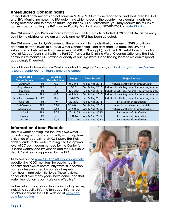# <span id="page-7-0"></span>**Unregulated Contaminants**

Unregulated contaminants do not have an MCL or MCLG but are reported to and evaluated by EGLE and EPA. Monitoring helps the EPA determine which areas of the country these contaminants are being detected and to develop future regulations. As our customers, you may request the results of our tests by contacting the BWL's Water Quality Administrator at 517-702-7059 or [water@lbwl.com.](mailto:water%40lbwl.com?subject=)

The BWL monitors for Perfluorinated Compounds (PFAS), which included PFOS and PFOA, at the entry point to the distribution system annually and no PFAS has been detected.

The BWL monitored for 1,4-Dioxane, at the entry point to the distribution system in 2015 and it was detected at trace levels at our Dye Water Conditioning Plant (less than 0.2 ppb). The EPA has established a lifetime health advisory level of 200 ug/L (or ppb), and the EGLE established an action level of 7.2 ppb (consistent with the Part 201 Residential Drinking Water Cleanup Criterion). The BWL continues to monitor 1,4-Dioxane quarterly at our Dye Water Conditioning Plant so we can respond accordingly if needed.

For additional information on Contaminants of Emerging Concern, visit [lbwl.com/customers/water](http://lbwl.com/customers/water-resource-center/contaminants-emerging-concern )[resource-center/contaminants-emerging-concern](http://lbwl.com/customers/water-resource-center/contaminants-emerging-concern )

| <b>Unregulated</b><br><b>Contaminants</b> | <b>Unit</b> | <b>Average</b><br><b>Detected Level</b> | Range          | <b>Date Tested</b> | <b>Major Sources</b>                               |
|-------------------------------------------|-------------|-----------------------------------------|----------------|--------------------|----------------------------------------------------|
| Chromium                                  | <b>PPB</b>  | 0.2                                     | $0.2 - 0.3$    | Feb & Aug 2015     | Natural constituent of groundwater                 |
| Molybdenum                                | <b>PPB</b>  | 1.1                                     | $0-1.2$        | Feb & Aug 2015     | Industrial activities; naturally occurring sources |
| Strontium                                 | <b>PPB</b>  | 166                                     | 120-210        | Feb & Aug 2015     | Industrial activities; naturally occurring sources |
| Vanadium                                  | <b>PPB</b>  | 0.3                                     | $0.2 - 0.4$    | Feb & Aug 2015     | Industrial activities; naturally occurring sources |
| l Chromium Hexavalent l                   | <b>PPB</b>  | 0.2                                     | $0.14 - 0.24$  | Feb & Aug 2015     | Industrial activities; naturally occurring sources |
| Chlorate                                  | <b>PPB</b>  | 174                                     | 32-330         | Feb & Aug 2015     | By-product of disinfection                         |
| 1.4-Dioxane                               | <b>PPB</b>  | 0.14                                    | $0.14 - 0.14$  | Feb & Aug 2015     | Industrial activities and landfills                |
| Manganese                                 | <b>PPB</b>  | 0.54                                    | $0.44 - 0.67$  | Mar & Aug 2020     | Natural constituent of groundwater                 |
| HAA5                                      | <b>PPB</b>  | 2.25                                    | $1.74 - 3.133$ | Mar & Aug 2020     | By-product of disinfection                         |
| <b>HAABr</b>                              | <b>PPB</b>  | 0.31                                    | $0 - 0.46$     | Mar & Aug 2020     | By-product of disinfection                         |
| HAA9                                      | <b>PPB</b>  | 2.56                                    | $2.20 - 3.46$  | Mar & Aug 2020     | By-product of disinfection                         |

#### **Information About Fluoride**

The raw water coming into the BWL's two water conditioning plants has a naturally occurring level of fluoride of approximately 0.35 ppm. The BWL adds fluoride to the water to bring it to the optimal level of 0.7 ppm recommended by the Center for Disease Control and Prevention and the U.S. Public Health Service and approved by the EPA.

As stated on the [www.CDC.gov/fluoridation/safety](http://www.CDC.gov/fluoridation/safety) website, the "CDC monitors the public health benefits and risks of community water fluoridation from studies published by panels of experts from health and scientific fields. These reviews, conducted over many years, have concluded that water fluoridation is both safe and effective."

Further information about fluoride in drinking water, including specific information about infants, can be obtained from the CDC website at [www.cdc.](http://www.cdc.gov/fluoridation
) [gov/fluoridation](http://www.cdc.gov/fluoridation
)

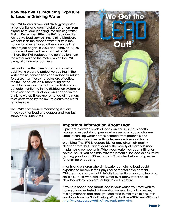### <span id="page-8-0"></span>**How the BWL is Reducing Exposure to Lead in Drinking Water**

The BWL follows a two-part strategy to protect its residential and commercial customers from exposure to lead leaching into drinking water. First, in December 2016, the BWL replaced its last active lead service line, joining Madison, Wisconsin as the second water utility in the nation to have removed all lead service lines. The project began in 2004 and removed 12,150 active lead service lines at a cost of \$44.5 million. The BWL replaced the connection from the water main to the meter, which the BWL owns, at a home or business.

Secondly, the BWL uses a corrosion control additive to create a protective coating in the water mains, service lines and indoor plumbing. To assure that these strategies are effective, the BWL conducts daily monitoring at the plant for corrosion control concentrations and periodic monitoring in the distribution system for corrosion control, and lead and copper in the drinking water. These are just a few of the many tests performed by the BWL to assure the water remains safe.

The BWL's compliance monitoring is every three years for lead and copper and was last sampled in June 2020.





# **Important Information About Lead**

If present, elevated levels of lead can cause serious health problems, especially for pregnant women and young children. Lead in drinking water comes primarily from materials and components associated with water service lines and home plumbing. The BWL is responsible for providing high-quality drinking water but cannot control the variety of materials used in plumbing components. When your water has been sitting for several hours, you can minimize the potential for lead exposure by flushing your tap for 30 seconds to 2 minutes before using water for drinking or cooking.

Infants and children who drink water containing lead could experience delays in their physical or mental development. Children could show slight deficits in attention span and learning abilities. Adults who drink this water over many years could develop kidney problems or high blood pressure.

If you are concerned about lead in your water, you may wish to have your water tested. Information on lead in drinking water, testing methods and steps you can take to minimize exposure is available from the Safe Drinking Water Hotline (800-426-4791) or at <http://water.epa.gov/drink/info/lead/index.cfm>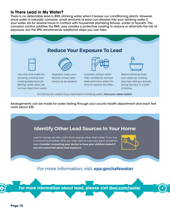### **Is There Lead in My Water?**

There is no detectable lead in BWL drinking water when it leaves our conditioning plants. However, since water is naturally corrosive, small amounts of lead can dissolve into your drinking water if your water sits for several hours in contact with household plumbing fixtures, solder or faucets. The corrosion control additive the BWL uses creates a protective coating to reduce or eliminate the risk of exposure, but the EPA recommends additional steps you can take.



To find out for certain if you have lead in drinking water, have your water tested.

Arrangements can be made for water testing through your county health department and each test costs about \$20.

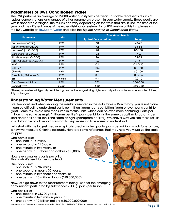### <span id="page-10-0"></span>**Parameters of BWL Conditioned Water**

The BWL performs an average of 16,000 water quality tests per year. This table represents results of typical concentrations and ranges of other parameters present in your water supply. These results are within acceptable ranges. The results can vary depending on the wells that are in use, the time of the year and the different areas of the water distribution system. For a PDF version of this list, please visit the BWL website at [lbwl.com/water](http://lbwl.com/water) and click the *Typical Analysis of Conditioned Water*.

|                               |              | <b>Your Water Results</b>    |              |  |  |  |
|-------------------------------|--------------|------------------------------|--------------|--|--|--|
| <b>Parameter</b>              | <b>Units</b> | <b>Typical Concentration</b> | Range        |  |  |  |
| Calcium (as CaCO3)            | <b>PPM</b>   | 60                           | 40-70        |  |  |  |
| Magnesium (as CaCO3)          | <b>PPM</b>   | 42                           | 33-58        |  |  |  |
| Hardness* (as CaCO3)          | <b>PPM</b>   | 98                           | 86-130       |  |  |  |
| Carbonate (as CaCO3)          | <b>PPM</b>   | 22                           | $17-27$      |  |  |  |
| Bicarbonate (as CaCO3)        | <b>PPM</b>   | 16                           | $13 - 23$    |  |  |  |
| Total Alkalinity (as CaCO3)   | <b>PPM</b>   | 35                           | $31 - 51$    |  |  |  |
| $Iron*$                       | <b>PPM</b>   | 0.1                          | $0.1 - 0.25$ |  |  |  |
| Sulfate*                      | <b>PPM</b>   | 104                          | 80-170       |  |  |  |
| Chloride*                     | <b>PPM</b>   | 70                           | 50-100       |  |  |  |
| Phosphate, Ortho (as P)       | <b>PPM</b>   | 0.3                          | $0.1 - 0.6$  |  |  |  |
| pH                            | pH units     | 9.4                          | $9.0 - 10$   |  |  |  |
| <b>Total Dissolved Solids</b> | <b>PPM</b>   | 275                          | 250-300      |  |  |  |
| Conductivity*                 | uS/cm        | 580                          | 450-730      |  |  |  |

\*These parameters will typically be at the high end of the range during high demand periods in the summer months of June, July and August.

#### **Understanding Water Measurements**

Ever feel confused when reading the results presented in the data tables? Don't worry, you're not alone. It can be difficult to understand parts per million (ppm), parts per billion (ppb) or even parts per trillion (ppt). Some results are also measured in Metric units, which can be even more confusing. Parts per million is the same as mg/L (milligram per liter), parts per billion is the same as ug/L (micrograms per liter) and parts per trillion is the same as ng/L (nanogram per liter). Whichever way you see these results in a data table or lab report, we want to help make it a little easier to understand.

Let's start with the largest measure typically used in water quality, parts per million, which for example, is how we measure Chlorine residuals. Here are some references that may help you visualize the scale for ppm.

One ppm is like:

- one inch in 16 miles,
- one second in 11.5 days,
- one minute in two years, or
- one penny in 10 thousand dollars (\$10,000)

Now, even smaller is parts per billion. This is what's used to measure lead.

One ppb is like:

- one inch in 15,782 miles,
- one second in nearly 32 years,
- one minute in two thousand years, or
- one penny in 10 million dollars (\$10,000,000)

Now, let's go down to the measurement being used for the emerging contaminant perfluoroalkyl substances (PFAS), parts per trillion.

One ppt is like:

- one second in 31,709 years,
- one minute in two million years, or
- one penny in 10 billion dollars (\$10,000,000,000)

Reference: https://www.esrl.noaa.gov/gmd/education/info\_activities/pdfs/MAA\_understanding\_ppm\_and\_ppb.pdf